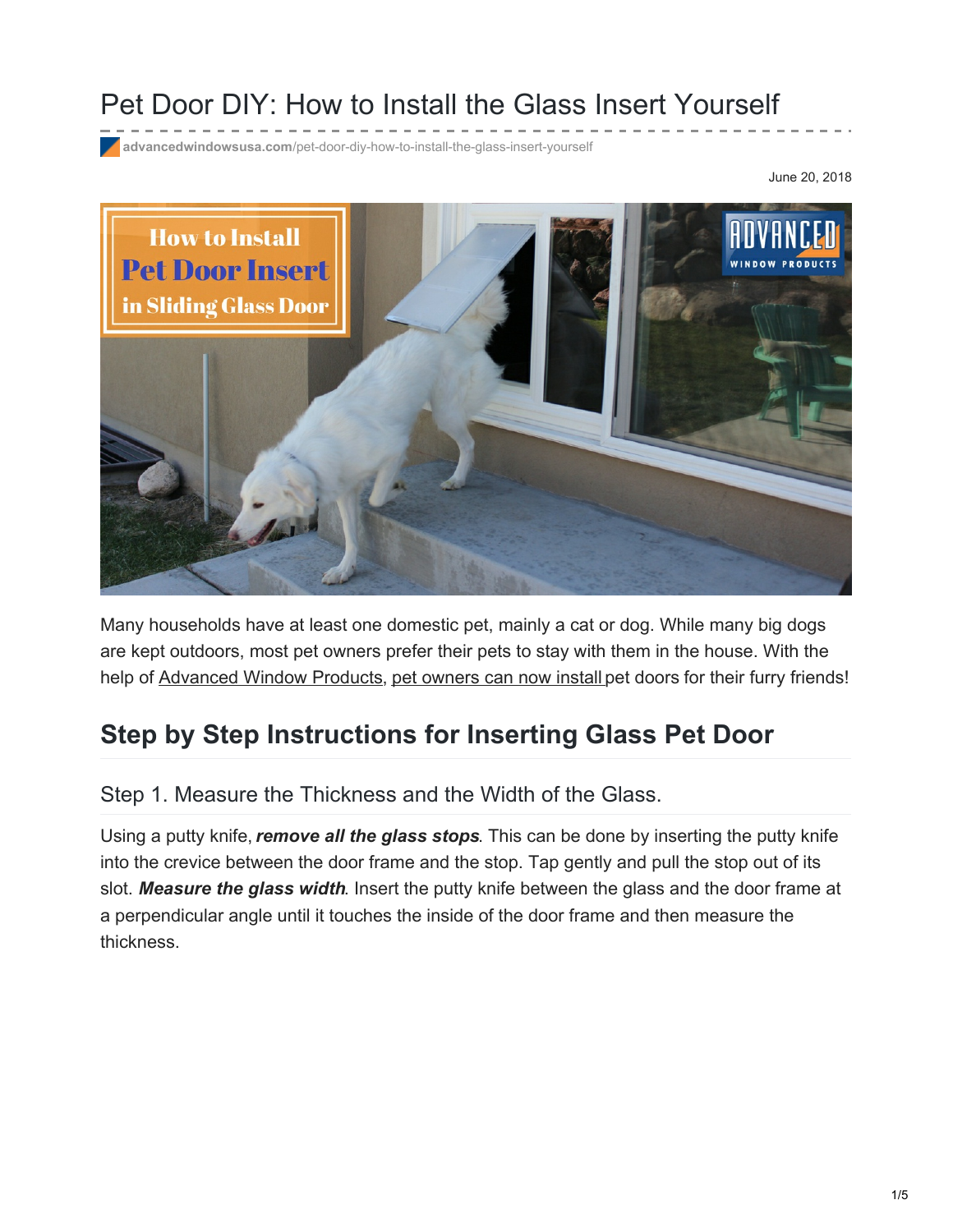## Pet Door DIY: How to Install the Glass Insert Yourself

**advancedwindowsusa.com**[/pet-door-diy-how-to-install-the-glass-insert-yourself](https://advancedwindowsusa.com/pet-door-diy-how-to-install-the-glass-insert-yourself)

June 20, 2018



Many households have at least one domestic pet, mainly a cat or dog. While many big dogs are kept outdoors, most pet owners prefer their pets to stay with them in the house. With the help of [Advanced](https://advancedwindowsusa.com/) Window Products, pet [owners](https://advancedwindowsusa.com/replacement-sliding-glass-pet-doors) can now install pet doors for their furry friends!

## **Step by Step Instructions for Inserting Glass Pet Door**

## Step 1. Measure the Thickness and the Width of the Glass.

Using a putty knife,*remove all the glass stops*. This can be done by inserting the putty knife into the crevice between the door frame and the stop. Tap gently and pull the stop out of its slot. *Measure the glass width*. Insert the putty knife between the glass and the door frame at a perpendicular angle until it touches the inside of the door frame and then measure the thickness.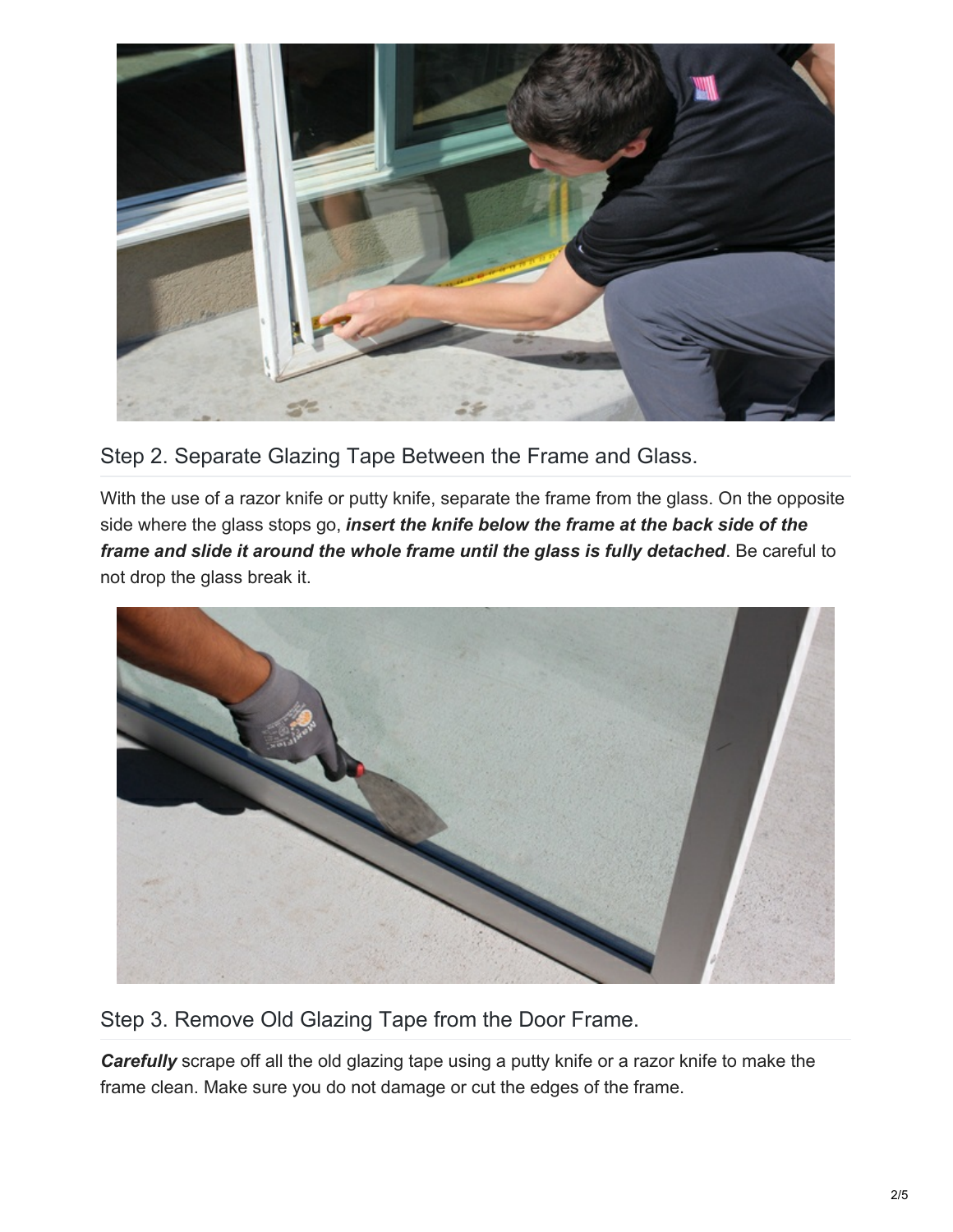

Step 2. Separate Glazing Tape Between the Frame and Glass.

With the use of a razor knife or putty knife, separate the frame from the glass. On the opposite side where the glass stops go, *insert the knife below the frame at the back side of the frame and slide it around the whole frame until the glass is fully detached*. Be careful to not drop the glass break it.



Step 3. Remove Old Glazing Tape from the Door Frame.

**Carefully** scrape off all the old glazing tape using a putty knife or a razor knife to make the frame clean. Make sure you do not damage or cut the edges of the frame.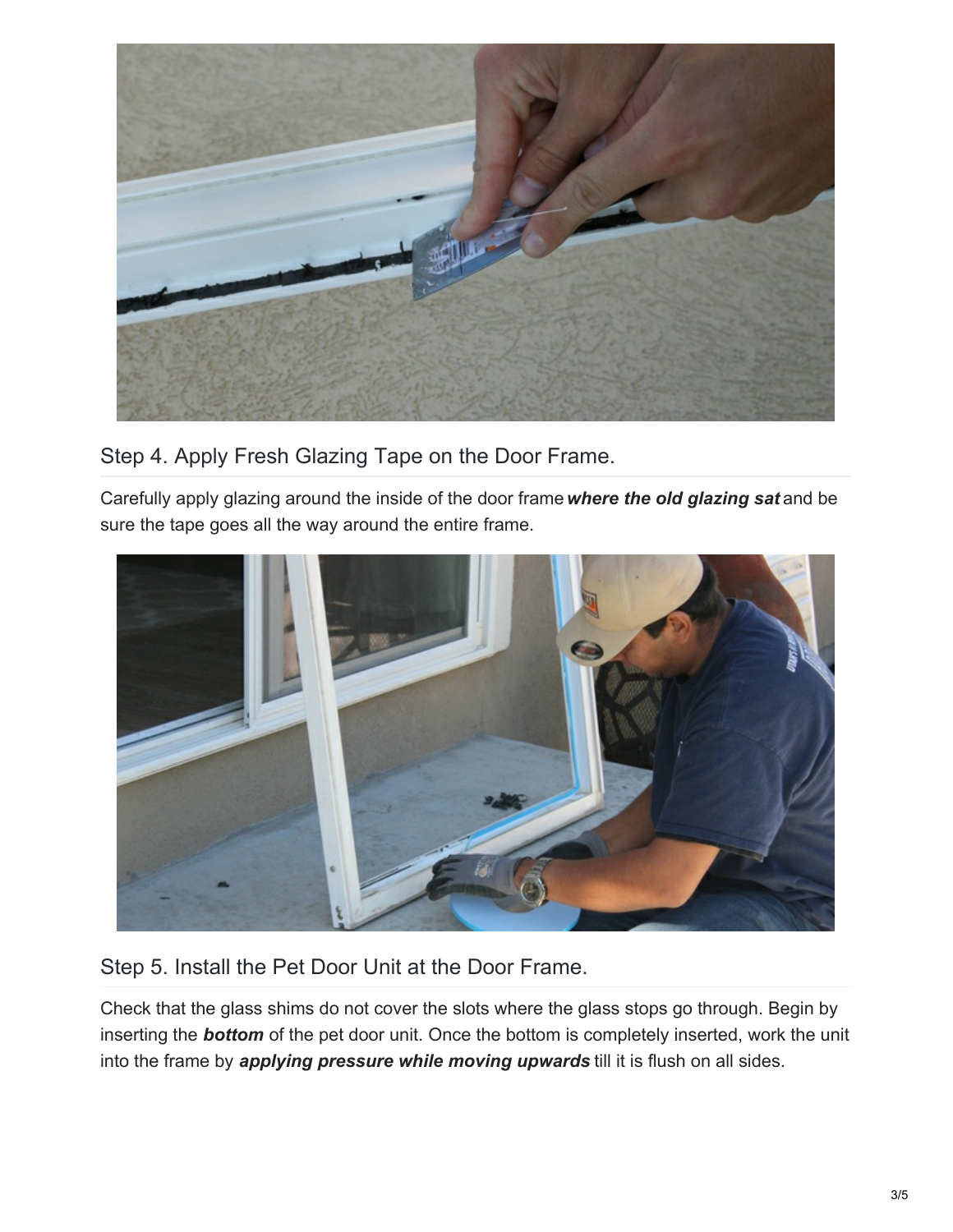

Step 4. Apply Fresh Glazing Tape on the Door Frame.

Carefully apply glazing around the inside of the door frame*where the old glazing sat* and be sure the tape goes all the way around the entire frame.



Step 5. Install the Pet Door Unit at the Door Frame.

Check that the glass shims do not cover the slots where the glass stops go through. Begin by inserting the *bottom* of the pet door unit. Once the bottom is completely inserted, work the unit into the frame by *applying pressure while moving upwards* till it is flush on all sides.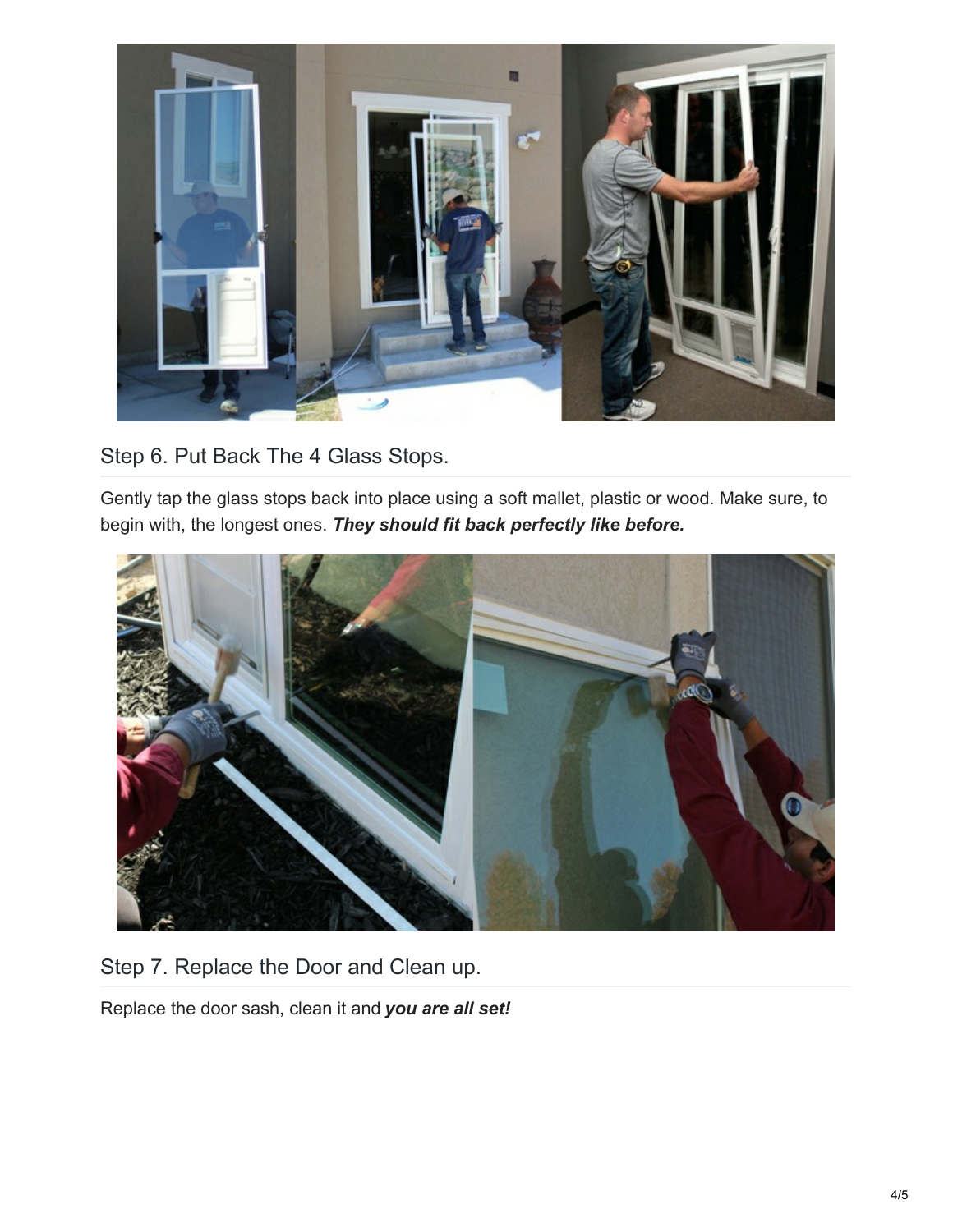

Step 6. Put Back The 4 Glass Stops.

Gently tap the glass stops back into place using a soft mallet, plastic or wood. Make sure, to begin with, the longest ones. *They should fit back perfectly like before.*



Step 7. Replace the Door and Clean up.

Replace the door sash, clean it and *you are all set!*